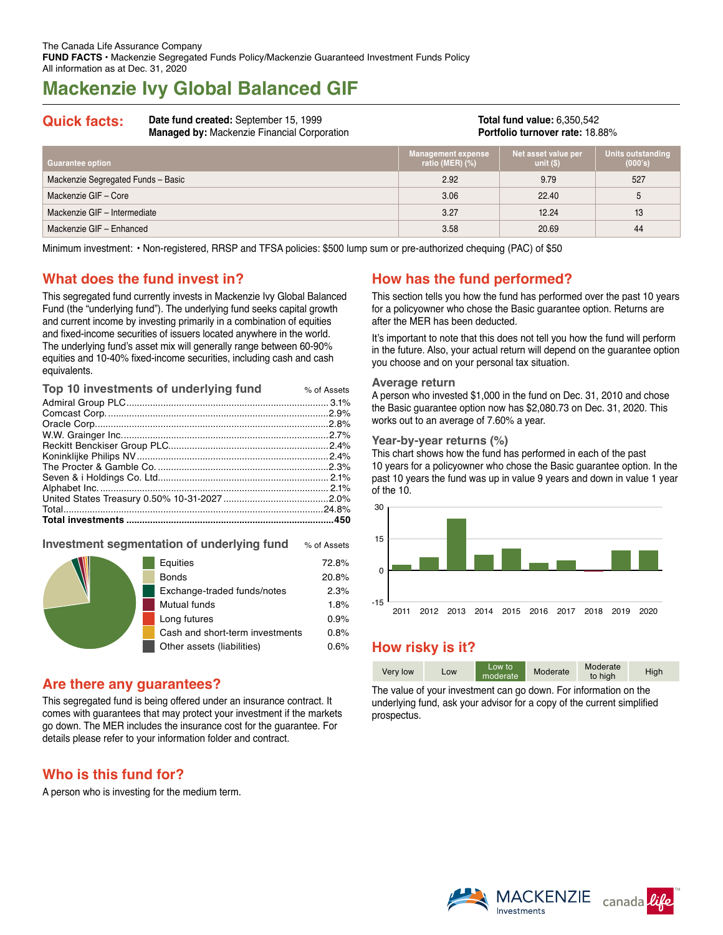# **Mackenzie Ivy Global Balanced GIF**

**Quick facts: Date fund created:** September 15, 1999 **Managed by:** Mackenzie Financial Corporation

**Total fund value:** 6,350,542 **Portfolio turnover rate:** 18.88%

| Guarantee option                   | <b>Management expense</b><br>ratio (MER) $(\%)$ | Net asset value per<br>unit $(S)$ | <b>Units outstanding</b><br>(000's) |
|------------------------------------|-------------------------------------------------|-----------------------------------|-------------------------------------|
| Mackenzie Segregated Funds - Basic | 2.92                                            | 9.79                              | 527                                 |
| Mackenzie GIF - Core               | 3.06                                            | 22.40                             | 5                                   |
| Mackenzie GIF - Intermediate       | 3.27                                            | 12.24                             | 13                                  |
| Mackenzie GIF - Enhanced           | 3.58                                            | 20.69                             | 44                                  |

Minimum investment: • Non-registered, RRSP and TFSA policies: \$500 lump sum or pre-authorized chequing (PAC) of \$50

## **What does the fund invest in?**

This segregated fund currently invests in Mackenzie Ivy Global Balanced Fund (the "underlying fund"). The underlying fund seeks capital growth and current income by investing primarily in a combination of equities and fixed-income securities of issuers located anywhere in the world. The underlying fund's asset mix will generally range between 60-90% equities and 10‑40% fixed-income securities, including cash and cash equivalents.

| Top 10 investments of underlying fund | % of Assets |
|---------------------------------------|-------------|
|                                       |             |
|                                       |             |
|                                       |             |
|                                       |             |
|                                       |             |
|                                       |             |
|                                       |             |
|                                       |             |
|                                       |             |
|                                       |             |
|                                       | .24.8%      |
|                                       |             |

### **Investment segmentation of underlying fund** % of Assets

|  | Equities                        | 72.8% |
|--|---------------------------------|-------|
|  | <b>Bonds</b>                    | 20.8% |
|  | Exchange-traded funds/notes     | 2.3%  |
|  | Mutual funds                    | 1.8%  |
|  | Long futures                    | 0.9%  |
|  | Cash and short-term investments | 0.8%  |
|  | Other assets (liabilities)      | 0.6%  |

## **Are there any guarantees?**

This segregated fund is being offered under an insurance contract. It comes with guarantees that may protect your investment if the markets go down. The MER includes the insurance cost for the guarantee. For details please refer to your information folder and contract.

## **Who is this fund for?**

A person who is investing for the medium term.

## **How has the fund performed?**

This section tells you how the fund has performed over the past 10 years for a policyowner who chose the Basic guarantee option. Returns are after the MER has been deducted.

It's important to note that this does not tell you how the fund will perform in the future. Also, your actual return will depend on the guarantee option you choose and on your personal tax situation.

#### **Average return**

A person who invested \$1,000 in the fund on Dec. 31, 2010 and chose the Basic guarantee option now has \$2,080.73 on Dec. 31, 2020. This works out to an average of 7.60% a year.

#### **Year-by-year returns (%)**

This chart shows how the fund has performed in each of the past 10 years for a policyowner who chose the Basic guarantee option. In the past 10 years the fund was up in value 9 years and down in value 1 year of the 10.



## **How risky is it?**

| Very low | Low | Low to<br>moderate | Moderate | Moderate<br>to high | High |
|----------|-----|--------------------|----------|---------------------|------|

The value of your investment can go down. For information on the underlying fund, ask your advisor for a copy of the current simplified prospectus.